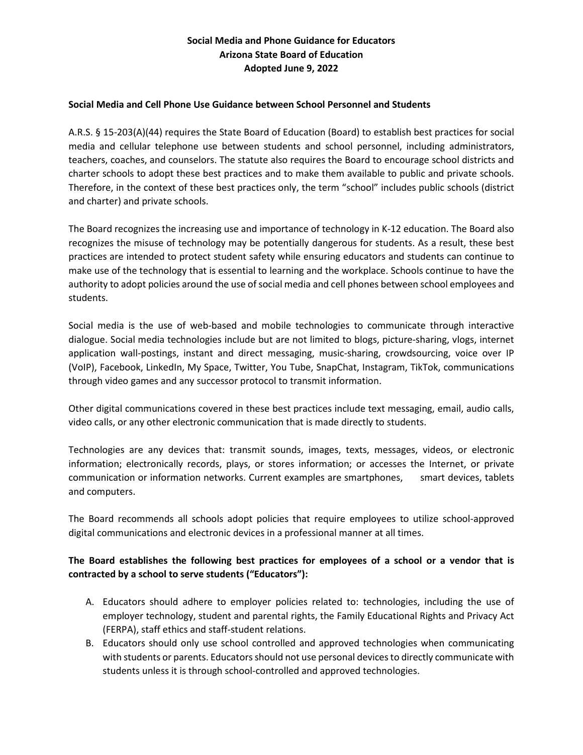## **Social Media and Phone Guidance for Educators Arizona State Board of Education Adopted June 9, 2022**

#### **Social Media and Cell Phone Use Guidance between School Personnel and Students**

A.R.S. § 15-203(A)(44) requires the State Board of Education (Board) to establish best practices for social media and cellular telephone use between students and school personnel, including administrators, teachers, coaches, and counselors. The statute also requires the Board to encourage school districts and charter schools to adopt these best practices and to make them available to public and private schools. Therefore, in the context of these best practices only, the term "school" includes public schools (district and charter) and private schools.

The Board recognizes the increasing use and importance of technology in K-12 education. The Board also recognizes the misuse of technology may be potentially dangerous for students. As a result, these best practices are intended to protect student safety while ensuring educators and students can continue to make use of the technology that is essential to learning and the workplace. Schools continue to have the authority to adopt policies around the use of social media and cell phones between school employees and students.

Social media is the use of web-based and mobile technologies to communicate through interactive dialogue. Social media technologies include but are not limited to blogs, picture-sharing, vlogs, internet application wall-postings, instant and direct messaging, music-sharing, crowdsourcing, voice over IP (VoIP), Facebook, LinkedIn, My Space, Twitter, You Tube, SnapChat, Instagram, TikTok, communications through video games and any successor protocol to transmit information.

Other digital communications covered in these best practices include text messaging, email, audio calls, video calls, or any other electronic communication that is made directly to students.

Technologies are any devices that: transmit sounds, images, texts, messages, videos, or electronic information; electronically records, plays, or stores information; or accesses the Internet, or private communication or information networks. Current examples are smartphones, smart devices, tablets and computers.

The Board recommends all schools adopt policies that require employees to utilize school-approved digital communications and electronic devices in a professional manner at all times.

# **The Board establishes the following best practices for employees of a school or a vendor that is contracted by a school to serve students ("Educators"):**

- A. Educators should adhere to employer policies related to: technologies, including the use of employer technology, student and parental rights, the Family Educational Rights and Privacy Act (FERPA), staff ethics and staff-student relations.
- B. Educators should only use school controlled and approved technologies when communicating with students or parents. Educators should not use personal devices to directly communicate with students unless it is through school-controlled and approved technologies.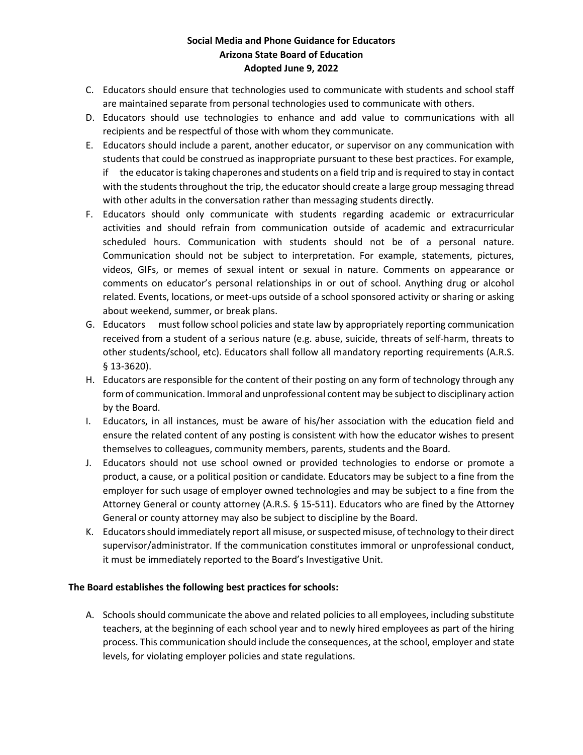### **Social Media and Phone Guidance for Educators Arizona State Board of Education Adopted June 9, 2022**

- C. Educators should ensure that technologies used to communicate with students and school staff are maintained separate from personal technologies used to communicate with others.
- D. Educators should use technologies to enhance and add value to communications with all recipients and be respectful of those with whom they communicate.
- E. Educators should include a parent, another educator, or supervisor on any communication with students that could be construed as inappropriate pursuant to these best practices. For example, if the educator is taking chaperones and students on a field trip and is required to stay in contact with the students throughout the trip, the educator should create a large group messaging thread with other adults in the conversation rather than messaging students directly.
- F. Educators should only communicate with students regarding academic or extracurricular activities and should refrain from communication outside of academic and extracurricular scheduled hours. Communication with students should not be of a personal nature. Communication should not be subject to interpretation. For example, statements, pictures, videos, GIFs, or memes of sexual intent or sexual in nature. Comments on appearance or comments on educator's personal relationships in or out of school. Anything drug or alcohol related. Events, locations, or meet-ups outside of a school sponsored activity or sharing or asking about weekend, summer, or break plans.
- G. Educators must follow school policies and state law by appropriately reporting communication received from a student of a serious nature (e.g. abuse, suicide, threats of self-harm, threats to other students/school, etc). Educators shall follow all mandatory reporting requirements (A.R.S. § 13-3620).
- H. Educators are responsible for the content of their posting on any form of technology through any form of communication. Immoral and unprofessional content may be subject to disciplinary action by the Board.
- I. Educators, in all instances, must be aware of his/her association with the education field and ensure the related content of any posting is consistent with how the educator wishes to present themselves to colleagues, community members, parents, students and the Board.
- J. Educators should not use school owned or provided technologies to endorse or promote a product, a cause, or a political position or candidate. Educators may be subject to a fine from the employer for such usage of employer owned technologies and may be subject to a fine from the Attorney General or county attorney (A.R.S. § 15-511). Educators who are fined by the Attorney General or county attorney may also be subject to discipline by the Board.
- K. Educators should immediately report all misuse, or suspected misuse, of technology to their direct supervisor/administrator. If the communication constitutes immoral or unprofessional conduct, it must be immediately reported to the Board's Investigative Unit.

### **The Board establishes the following best practices for schools:**

A. Schools should communicate the above and related policies to all employees, including substitute teachers, at the beginning of each school year and to newly hired employees as part of the hiring process. This communication should include the consequences, at the school, employer and state levels, for violating employer policies and state regulations.